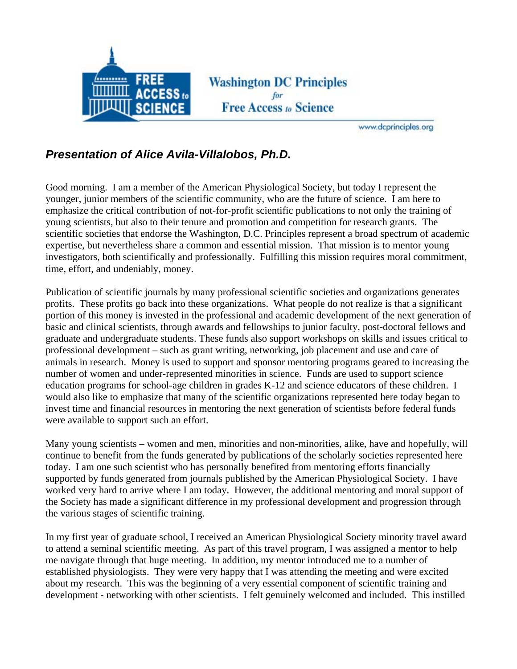

**Washington DC Principles Free Access to Science** 

www.dcprinciples.org

## *Presentation of Alice Avila-Villalobos, Ph.D.*

Good morning. I am a member of the American Physiological Society, but today I represent the younger, junior members of the scientific community, who are the future of science. I am here to emphasize the critical contribution of not-for-profit scientific publications to not only the training of young scientists, but also to their tenure and promotion and competition for research grants. The scientific societies that endorse the Washington, D.C. Principles represent a broad spectrum of academic expertise, but nevertheless share a common and essential mission. That mission is to mentor young investigators, both scientifically and professionally. Fulfilling this mission requires moral commitment, time, effort, and undeniably, money.

Publication of scientific journals by many professional scientific societies and organizations generates profits. These profits go back into these organizations. What people do not realize is that a significant portion of this money is invested in the professional and academic development of the next generation of basic and clinical scientists, through awards and fellowships to junior faculty, post-doctoral fellows and graduate and undergraduate students. These funds also support workshops on skills and issues critical to professional development – such as grant writing, networking, job placement and use and care of animals in research. Money is used to support and sponsor mentoring programs geared to increasing the number of women and under-represented minorities in science. Funds are used to support science education programs for school-age children in grades K-12 and science educators of these children. I would also like to emphasize that many of the scientific organizations represented here today began to invest time and financial resources in mentoring the next generation of scientists before federal funds were available to support such an effort.

Many young scientists – women and men, minorities and non-minorities, alike, have and hopefully, will continue to benefit from the funds generated by publications of the scholarly societies represented here today. I am one such scientist who has personally benefited from mentoring efforts financially supported by funds generated from journals published by the American Physiological Society. I have worked very hard to arrive where I am today. However, the additional mentoring and moral support of the Society has made a significant difference in my professional development and progression through the various stages of scientific training.

In my first year of graduate school, I received an American Physiological Society minority travel award to attend a seminal scientific meeting. As part of this travel program, I was assigned a mentor to help me navigate through that huge meeting. In addition, my mentor introduced me to a number of established physiologists. They were very happy that I was attending the meeting and were excited about my research. This was the beginning of a very essential component of scientific training and development - networking with other scientists. I felt genuinely welcomed and included. This instilled